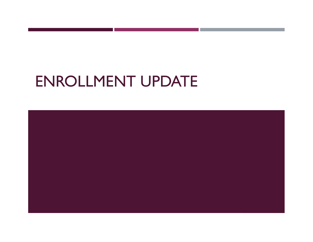# ENROLLMENT UPDATE

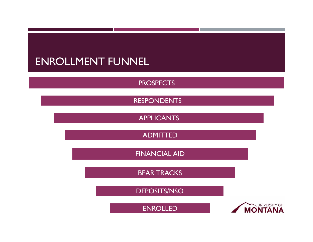#### ENROLLMENT FUNNEL

PROSPECTS

RESPONDENTS

APPLICANTS

ADMITTED

FINANCIAL AID

BEAR TRACKS

DEPOSITS/NSO

ENROLLED

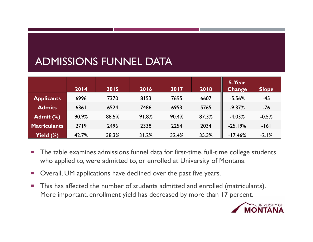# ADMISSIONS FUNNEL DATA

|                     | 2014  | 2015  | 2016  | 2017  | 2018  | 5-Year<br><b>Change</b> | <b>Slope</b> |
|---------------------|-------|-------|-------|-------|-------|-------------------------|--------------|
| <b>Applicants</b>   | 6996  | 7370  | 8153  | 7695  | 6607  | $-5.56%$                | $-45$        |
| <b>Admits</b>       | 6361  | 6524  | 7486  | 6953  | 5765  | $-9.37%$                | $-76$        |
| Admit (%)           | 90.9% | 88.5% | 91.8% | 90.4% | 87.3% | $-4.03%$                | $-0.5%$      |
| <b>Matriculants</b> | 2719  | 2496  | 2338  | 2254  | 2034  | $-25.19%$               | $-161$       |
| Yield (%)           | 42.7% | 38.3% | 31.2% | 32.4% | 35.3% | $-17.46%$               | $-2.1%$      |

- $\mathcal{L}_{\mathcal{A}}$  The table examines admissions funnel data for first-time, full-time college students who applied to, were admitted to, or enrolled at University of Montana.
- $\mathcal{C}$ Overall, UM applications have declined over the past five years.
- $\overline{\phantom{a}}$  This has affected the number of students admitted and enrolled (matriculants). More important, enrollment yield has decreased by more than 17 percent.

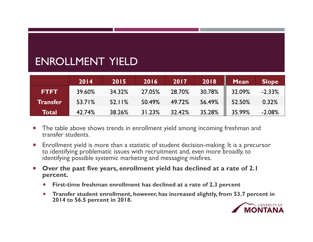### ENROLLMENT YIELD

|                 | 2014   | 2015   | 2016   | 2017   | 2018   | <b>Mean</b> | <b>Slope</b> |
|-----------------|--------|--------|--------|--------|--------|-------------|--------------|
| <b>FTFT</b>     | 39.60% | 34.32% | 27.05% | 28.70% | 30.78% | 32.09%      | $-2.33%$     |
| <b>Transfer</b> | 53.71% | 52.11% | 50.49% | 49.72% | 56.49% | 52.50%      | 0.32%        |
| Total           | 42.74% | 38.26% | 31.23% | 32.42% | 35.28% | 35.99%      | $-2.08%$     |

- ▉ The table above shows trends in enrollment yield among incoming freshman and transfer students.
- ▉ Enrollment yield is more than a statistic of student decision-making. It is a precursor to identifying problematic issues with recruitment and, even more broadly, to identifying possible systemic marketing and messaging misfires.
- П **Over the past five years, enrollment yield has declined at a rate of 2.1 percent.** 
	- $\mathcal{C}$ **First-time freshman enrollment has declined at a rate of 2.3 percent**
	- $\mathcal{C}$  **Transfer student enrollment, however, has increased slightly, from 53.7 percent in 2014 to 56.5 percent in 2018.**

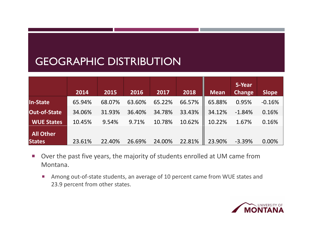### GEOGRAPHIC DISTRIBUTION

|                   | 2014   | 2015   | 2016   | 2017   | 2018   | <b>Mean</b> | 5-Year<br><b>Change</b> | <b>Slope</b> |
|-------------------|--------|--------|--------|--------|--------|-------------|-------------------------|--------------|
| In-State          | 65.94% | 68.07% | 63.60% | 65.22% | 66.57% | 65.88%      | 0.95%                   | $-0.16%$     |
| Out-of-State      | 34.06% | 31.93% | 36.40% | 34.78% | 33.43% | 34.12%      | $-1.84%$                | 0.16%        |
| <b>WUE States</b> | 10.45% | 9.54%  | 9.71%  | 10.78% | 10.62% | 10.22%      | 1.67%                   | 0.16%        |
| <b>All Other</b>  |        |        |        |        |        |             |                         |              |
| <b>States</b>     | 23.61% | 22.40% | 26.69% | 24.00% | 22.81% | 23.90%      | $-3.39%$                | 0.00%        |

- $\mathcal{L}_{\rm{max}}$  Over the past five years, the majority of students enrolled at UM came from Montana.
	- $\mathcal{L}_{\mathcal{A}}$  Among out‐of‐state students, an average of 10 percent came from WUE states and 23.9 percent from other states.

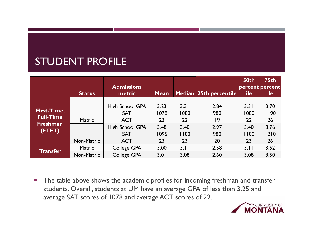# STUDENT PROFILE

|                                 | <b>Status</b>               | <b>Admissions</b><br>metric                        | <b>Mean</b>        |                    | Median 25th percentile | <b>50th</b><br>percent percent<br>ile | <b>75th</b><br>ile |
|---------------------------------|-----------------------------|----------------------------------------------------|--------------------|--------------------|------------------------|---------------------------------------|--------------------|
| First-Time,<br><b>Full-Time</b> | <b>Matric</b>               | High School GPA<br><b>SAT</b><br><b>ACT</b>        | 3.23<br>1078<br>23 | 3.31<br>1080<br>22 | 2.84<br>980<br>19      | 3.31<br>1080<br>22                    | 3.70<br>1190<br>26 |
| <b>Freshman</b><br>(FTFT)       | Non-Matric                  | <b>High School GPA</b><br><b>SAT</b><br><b>ACT</b> | 3.48<br>1095<br>23 | 3.40<br>1100<br>23 | 2.97<br>980<br>20      | 3.40<br>1100<br>23                    | 3.76<br>1210<br>26 |
| <b>Transfer</b>                 | <b>Matric</b><br>Non-Matric | <b>College GPA</b><br><b>College GPA</b>           | 3.00<br>3.01       | 3.11<br>3.08       | 2.58<br>2.60           | 3.11<br>3.08                          | 3.52<br>3.50       |

 $\mathcal{L}_{\mathcal{A}}$  The table above shows the academic profiles for incoming freshman and transfer students. Overall, students at UM have an average GPA of less than 3.25 and average SAT scores of 1078 and average ACT scores of 22.

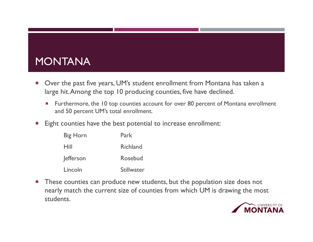# MONTANA

- $\mathcal{L}_{\mathcal{A}}$  Over the past five years, UM's student enrollment from Montana has taken a large hit. Among the top 10 producing counties, five have declined.
	- Г Furthermore, the 10 top counties account for over 80 percent of Montana enrollment and 50 percent UM's total enrollment.
- $\mathcal{C}^{\mathcal{C}}$ Eight counties have the best potential to increase enrollment:

| <b>Big Horn</b>  | Park              |
|------------------|-------------------|
| Hill             | <b>Richland</b>   |
| <b>e</b> fferson | Rosebud           |
| Lincoln          | <b>Stillwater</b> |

 $\mathcal{L}_{\mathcal{A}}$  These counties can produce new students, but the population size does not nearly match the current size of counties from which UM is drawing the most students.

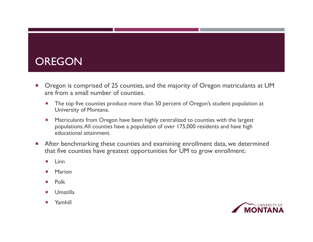#### **OREGON**

- T. Oregon is comprised of 25 counties, and the majority of Oregon matriculants at UM are from a small number of counties.
	- $\mathcal{L}_{\mathcal{A}}$  The top five counties produce more than 50 percent of Oregon's student population at University of Montana.
	- Ξ Matriculants from Oregon have been highly centralized to counties with the largest populations. All counties have a population of over 175,000 residents and have high educational attainment.
- $\mathcal{C}^{\mathcal{A}}$  After benchmarking these counties and examining enrollment data, we determined that five counties have greatest opportunities for UM to grow enrollment:
	- ×. Linn
	- Marion
	- a. Polk
	- Umatilla
	- $\mathcal{L}_{\mathcal{A}}$ Yamhill

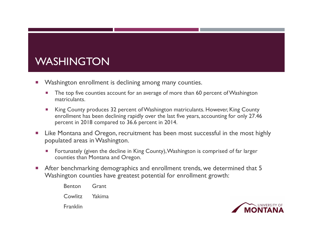# WASHINGTON

- $\mathcal{C}$  Washington enrollment is declining among many counties.
	- The top five counties account for an average of more than 60 percent of Washington matriculants.
	- King County produces 32 percent of Washington matriculants. However, King County enrollment has been declining rapidly over the last five years, accounting for only 27.46 percent in 2018 compared to 36.6 percent in 2014.
- $\mathcal{L}_{\mathcal{A}}$  Like Montana and Oregon, recruitment has been most successful in the most highly populated areas in Washington.
	- Fortunately (given the decline in King County), Washington is comprised of far larger counties than Montana and Oregon.
- $\mathcal{C}^{\mathcal{A}}$  After benchmarking demographics and enrollment trends, we determined that 5 Washington counties have greatest potential for enrollment growth:
	- Benton Grant
	- Cowlitz Yakima
	- **Franklin**

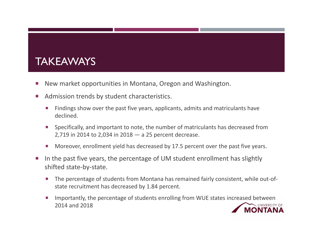#### **TAKEAWAYS**

- T. New market opportunities in Montana, Oregon and Washington.
- $\mathcal{L}_{\mathcal{A}}$  Admission trends by student characteristics.
	- П Findings show over the past five years, applicants, admits and matriculants have declined.
	- п Specifically, and important to note, the number of matriculants has decreased from 2,719 in 2014 to 2,034 in 2018 — a 25 percent decrease.
	- Г Moreover, enrollment yield has decreased by 17.5 percent over the past five years.
- $\mathcal{L}_{\mathcal{A}}$  In the past five years, the percentage of UM student enrollment has slightly shifted state‐by‐state.
	- Г The percentage of students from Montana has remained fairly consistent, while out‐of‐ state recruitment has decreased by 1.84 percent.
	- Г Importantly, the percentage of students enrolling from WUE states increased between 2014 and 2018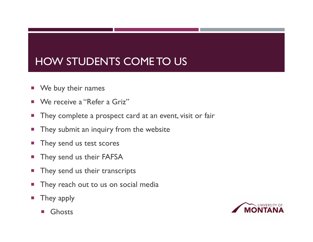# HOW STUDENTS COME TO US

- $\mathcal{C}$ We buy their names
- n. We receive a "Refer a Griz"
- $\mathcal{C}$ They complete a prospect card at an event, visit or fair
- $\mathcal{C}_{\mathcal{A}}$ They submit an inquiry from the website
- $\mathcal{C}_{\mathcal{A}}$ They send us test scores
- $\mathcal{C}^{\mathcal{A}}$ They send us their FAFSA
- $\mathcal{C}$ They send us their transcripts
- $\mathcal{C}_{\mathcal{A}}$ They reach out to us on social media
- $\mathcal{C}$  They apply
	- $\mathcal{O}(\mathbb{R}^d)$ Ghosts

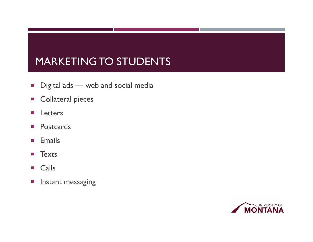# MARKETING TO STUDENTS

- $\mathcal{L}_{\mathcal{A}}$ Digital ads — web and social media
- **EXECOllateral pieces**
- $\mathcal{C}^{\mathcal{A}}$ Letters
- $\mathcal{C}$ Postcards
- $\mathcal{L}$ Emails
- $\mathcal{L}_{\mathcal{A}}$ **Texts**
- $\mathcal{L}_{\mathcal{A}}$ Calls
- $\overline{\mathbb{R}}$ Instant messaging

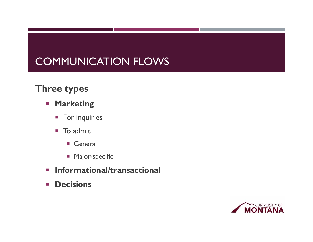### COMMUNICATION FLOWS

#### **Three types**

- **Marketing** 
	- **For inquiries**
	- $\mathcal{L}_{\mathcal{A}}$  To admit
		- General
		- **Major-specific**
- **Informational/transactional**
- $\mathcal{L}_{\text{max}}$ **Decisions**

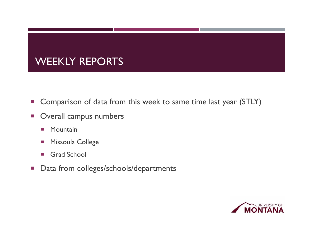# WEEKLY REPORTS

- $\mathcal{L}_{\mathcal{A}}$ Comparison of data from this week to same time last year (STLY)
- $\mathcal{L}_{\mathcal{A}}$  Overall campus numbers
	- $\mathcal{C}^{\mathcal{A}}$ **Mountain**
	- $\mathcal{C}$ Missoula College
	- m. Grad School
- **Data from colleges/schools/departments**

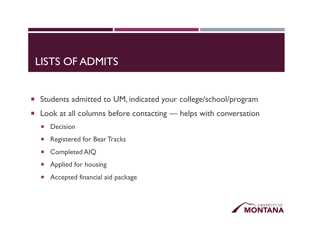# LISTS OF ADMITS

- **E** Students admitted to UM, indicated your college/school/program
- $\mathcal{L}_{\mathcal{A}}$  Look at all columns before contacting — helps with conversation
	- **COL** Decision
	- $\mathcal{L}_{\mathcal{A}}$ Registered for Bear Tracks
	- $\mathcal{C}^{\mathcal{A}}$ Completed AIQ
	- Applied for housing
	- P. Accepted financial aid package

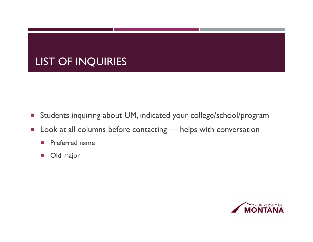# LIST OF INQUIRIES

- $\mathcal{L}_{\mathcal{A}}$ Students inquiring about UM, indicated your college/school/program
- **Look at all columns before contacting helps with conversation** 
	- $\mathcal{C}^{\mathcal{A}}$ Preferred name
	- $\mathcal{L}_{\mathcal{A}}$ Old major

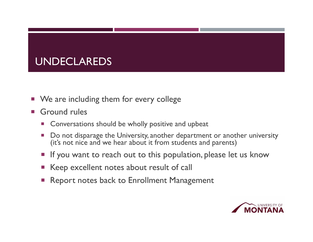### UNDECLAREDS

- $\mathcal{L}_{\mathcal{A}}$ We are including them for every college
- $\mathcal{L}^{\text{max}}$  Ground rules
	- $\mathcal{L}_{\mathcal{A}}$ Conversations should be wholly positive and upbeat
	- Do not disparage the University, another department or another university (it's not nice and we hear about it from students and parents)
	- **Service Service** If you want to reach out to this population, please let us know
	- Keep excellent notes about result of call
	- Report notes back to Enrollment Management

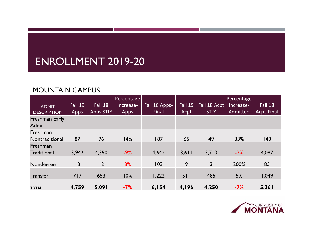#### ENROLLMENT 2019-20

#### MOUNTAIN CAMPUS

|                                    | Fall 19     | Fall 18          | <b>Percentage</b><br>Increase- | Fall 18 Apps- | Fall <sub>19</sub> | Fall 18 Acpt | Percentage<br>Increase- | Fall 18    |
|------------------------------------|-------------|------------------|--------------------------------|---------------|--------------------|--------------|-------------------------|------------|
| <b>ADMIT</b><br><b>DESCRIPTION</b> | <b>Apps</b> | <b>Apps STLY</b> | Apps                           | Final         | Acpt               | <b>STLY</b>  | Admitted                | Acpt-Final |
| Freshman Early<br><b>Admit</b>     |             |                  |                                |               |                    |              |                         |            |
| Freshman<br>Nontraditional         | 87          | 76               | 14%                            | 187           | 65                 | 49           | 33%                     | 140        |
| Freshman<br><b>Traditional</b>     | 3,942       | 4,350            | $-9%$                          | 4,642         | 3,611              | 3,713        | $-3%$                   | 4,087      |
| Nondegree                          | 3           | 12               | 8%                             | 103           | 9                  | 3            | 200%                    | 85         |
| <b>Transfer</b>                    | 717         | 653              | 10%                            | 1,222         | 511                | 485          | 5%                      | 1,049      |
| <b>TOTAL</b>                       | 4,759       | 5,091            | $-7%$                          | 6,154         | 4,196              | 4,250        | $-7%$                   | 5,361      |

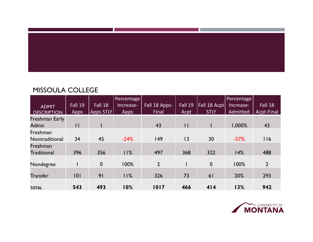

#### MISSOULA COLLEGE

|                    |              |                  | <b>Percentage</b> |                |                    |              | Percentage |                |
|--------------------|--------------|------------------|-------------------|----------------|--------------------|--------------|------------|----------------|
| <b>ADMIT</b>       | Fall 19      | Fall 18          | Increase-         | Fall 18 Apps-  | Fall <sub>19</sub> | Fall 18 Acpt | Increase-  | Fall 18        |
| <b>DESCRIPTION</b> | <b>Apps</b>  | <b>Apps STLY</b> | <b>Apps</b>       | Final          | Acpt               | <b>STLY</b>  | Admitted   | Acpt-Final     |
| Freshman Early     |              |                  |                   |                |                    |              |            |                |
| <b>Admit</b>       | $\mathsf{I}$ |                  |                   | 43             | $\mathbf{H}$       |              | 1,000%     | 43             |
| Freshman           |              |                  |                   |                |                    |              |            |                |
| Nontraditional     | 34           | 45               | $-24%$            | 149            | 3                  | 30           | $-57%$     | 116            |
| Freshman           |              |                  |                   |                |                    |              |            |                |
| <b>Traditional</b> | 396          | 356              | 11%               | 497            | 368                | 322          | 14%        | 488            |
|                    |              |                  |                   |                |                    |              |            |                |
| Nondegree          |              | $\mathbf 0$      | 100%              | $\overline{2}$ |                    | $\mathbf 0$  | 100%       | $\overline{2}$ |
|                    |              |                  |                   |                |                    |              |            |                |
| <b>Transfer</b>    | 0            | 9 <sub>1</sub>   | 11%               | 326            | 73                 | 61           | 20%        | 293            |
|                    |              |                  |                   |                |                    |              |            |                |
| <b>TOTAL</b>       | 543          | 493              | 10%               | 1017           | 466                | 414          | 13%        | 942            |

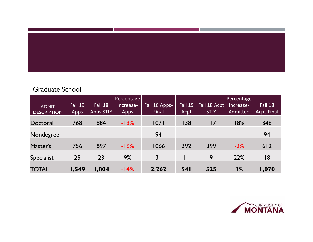

#### Graduate School

|                    |         |                  | <b>Percentage</b> |               |            |              | Percentage |            |
|--------------------|---------|------------------|-------------------|---------------|------------|--------------|------------|------------|
| <b>ADMIT</b>       | Fall 19 | Fall 18          | Increase-         | Fall 18 Apps- | Fall $19$  | Fall 18 Acpt | Increase-  | Fall 18    |
| <b>DESCRIPTION</b> | Apps    | <b>Apps STLY</b> | Apps              | Final         | Acpt       | <b>STLY</b>  | Admitted   | Acpt-Final |
| Doctoral           | 768     | 884              | $-13%$            | 1071          | 138        | 117          | 18%        | 346        |
| Nondegree          |         |                  |                   | 94            |            |              |            | 94         |
| Master's           | 756     | 897              | $-16%$            | 1066          | 392        | 399          | $-2%$      | 612        |
| <b>Specialist</b>  | 25      | 23               | 9%                | 31            | H          | 9            | 22%        | 18         |
| <b>TOTAL</b>       | 1,549   | 1,804            | $-14%$            | 2,262         | <b>541</b> | 525          | 3%         | 1,070      |

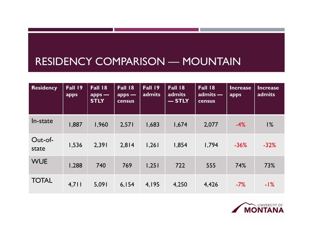#### RESIDENCY COMPARISON — MOUNTAIN

| <b>Residency</b> | Fall 19<br>apps | <b>Fall 18</b><br>$apps -$<br><b>STLY</b> | <b>Fall 18</b><br>$apps -$<br><b>census</b> | <b>Fall 19</b><br>admits | <b>Fall 18</b><br>admits<br>$-$ STLY | <b>Fall 18</b><br>$admits -$<br><b>census</b> | <b>Increase</b><br>apps | Increase<br>admits |
|------------------|-----------------|-------------------------------------------|---------------------------------------------|--------------------------|--------------------------------------|-----------------------------------------------|-------------------------|--------------------|
| In-state         | 1,887           | 1,960                                     | 2,571                                       | 1,683                    | 1,674                                | 2,077                                         | $-4%$                   | 1%                 |
| Out-of-<br>state | 1,536           | 2,391                                     | 2,814                                       | 1,261                    | 1,854                                | 1,794                                         | $-36%$                  | $-32%$             |
| <b>WUE</b>       | 1,288           | 740                                       | 769                                         | 1,251                    | 722                                  | 555                                           | 74%                     | 73%                |
| <b>TOTAL</b>     | 4,711           | 5,091                                     | 6,154                                       | 4,195                    | 4,250                                | 4,426                                         | $-7%$                   | $-1\%$             |

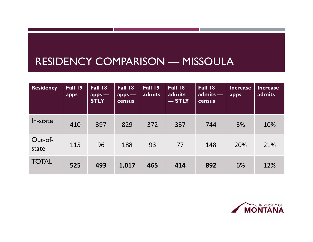#### RESIDENCY COMPARISON — MISSOULA

| <b>Residency</b> | Fall 19<br>apps | <b>Fall 18</b><br>$apps -$<br><b>STLY</b> | <b>Fall 18</b><br>$apps -$<br><b>census</b> | <b>Fall 19</b><br>admits | <b>Fall 18</b><br>admits<br>$-$ STLY | <b>Fall 18</b><br>$admits -$<br><b>census</b> | <b>Increase</b><br>apps | <b>Increase</b><br>admits |
|------------------|-----------------|-------------------------------------------|---------------------------------------------|--------------------------|--------------------------------------|-----------------------------------------------|-------------------------|---------------------------|
| In-state         | 410             | 397                                       | 829                                         | 372                      | 337                                  | 744                                           | 3%                      | 10%                       |
| Out-of-<br>state | 115             | 96                                        | 188                                         | 93                       | 77                                   | 148                                           | 20%                     | 21%                       |
| <b>TOTAL</b>     | 525             | 493                                       | 1,017                                       | 465                      | 414                                  | 892                                           | 6%                      | 12%                       |

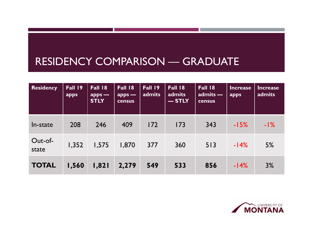#### RESIDENCY COMPARISON — GRADUATE

| <b>Residency</b> | Fall 19<br>apps | <b>Fall 18</b><br>$apps -$<br><b>STLY</b> | <b>Fall 18</b><br>$apps -$<br>census | <b>Fall 19</b><br>admits | <b>Fall 18</b><br>admits<br>$-$ STLY | <b>Fall 18</b><br>admits -<br>census | Increase<br>apps | <b>Increase</b><br>admits |
|------------------|-----------------|-------------------------------------------|--------------------------------------|--------------------------|--------------------------------------|--------------------------------------|------------------|---------------------------|
| In-state         | 208             | 246                                       | 409                                  | 172                      | 173                                  | 343                                  | $-15%$           | $-1\%$                    |
| Out-of-<br>state | 1,352           | 1,575                                     | 1,870                                | 377                      | 360                                  | 513                                  | $-14%$           | 5%                        |
| <b>TOTAL</b>     | 1,560           | 1,821                                     | 2,279                                | 549                      | 533                                  | 856                                  | $-14%$           | 3%                        |

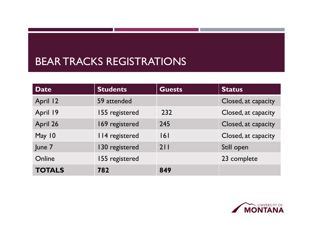#### BEAR TRACKS REGISTRATIONS

| <b>Date</b>   | <b>Students</b> | <b>Guests</b> | <b>Status</b>       |
|---------------|-----------------|---------------|---------------------|
| April 12      | 59 attended     |               | Closed, at capacity |
| April 19      | 155 registered  | 232           | Closed, at capacity |
| April 26      | 169 registered  | 245           | Closed, at capacity |
| May 10        | 114 registered  | 6             | Closed, at capacity |
| June 7        | 130 registered  | 211           | Still open          |
| Online        | 155 registered  |               | 23 complete         |
| <b>TOTALS</b> | 782             | 849           |                     |

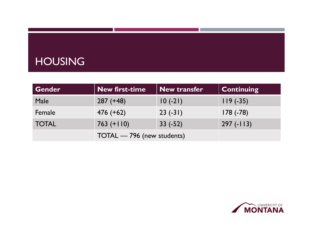### HOUSING

| Gender       | New first-time             | <b>New transfer</b> | <b>Continuing</b> |
|--------------|----------------------------|---------------------|-------------------|
| Male         | $287 (+48)$                | $10(-21)$           | $119(-35)$        |
| Female       | $476 (+62)$                | $23(-31)$           | $178(-78)$        |
| <b>TOTAL</b> | $763 (+110)$               | $33(-52)$           | $297(-113)$       |
|              | TOTAL - 796 (new students) |                     |                   |